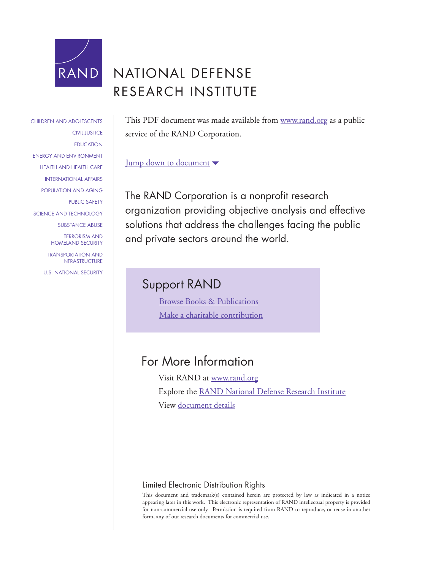

# NATIONAL DEFENSE RESEARCH INSTITUTE

This PDF document was made available from [www.rand.org](http://www.rand.org/pdfrd/) as a public service of the RAND Corporation.

#### [Jump down to document](#page-2-0)

The RAND Corporation is a nonprofit research organization providing objective analysis and effective solutions that address the challenges facing the public and private sectors around the world.

## Support RAND

[Browse Books & Publications](http://www.rand.org/pdfrd/publications/electronic/) [Make a charitable contribution](http://www.rand.org/pdfrd/giving/contribute.html)

### For More Information

Visit RAND at [www.rand.org](http://www.rand.org/pdfrd/) Explore the [RAND National Defense Research Institute](http://www.rand.org/pdfrd/nsrd/ndri.html) View [document details](http://www.rand.org/pdfrd/publications/RB/RB7556/)

#### Limited Electronic Distribution Rights

This document and trademark(s) contained herein are protected by law as indicated in a notice appearing later in this work. This electronic representation of RAND intellectual property is provided for non-commercial use only. Permission is required from RAND to reproduce, or reuse in another form, any of our research documents for commercial use.

[CHILDREN AND ADOLESCENTS](http://www.rand.org/pdfrd/research_areas/children/) [CIVIL JUSTICE](http://www.rand.org/pdfrd/research_areas/civil_justice/) **[EDUCATION](http://www.rand.org/pdfrd/research_areas/education/)** [ENERGY AND ENVIRONMENT](http://www.rand.org/pdfrd/research_areas/energy_environment/) [HEALTH AND HEALTH CARE](http://www.rand.org/pdfrd/research_areas/health/) [INTERNATIONAL AFFAIRS](http://www.rand.org/pdfrd/research_areas/international_affairs/) [POPULATION AND AGING](http://www.rand.org/pdfrd/research_areas/population/) [PUBLIC SAFETY](http://www.rand.org/pdfrd/research_areas/public_safety/) [SCIENCE AND TECHNOLOGY](http://www.rand.org/pdfrd/research_areas/science_technology/) [SUBSTANCE ABUSE](http://www.rand.org/pdfrd/research_areas/substance_abuse/) [TERRORISM AND](http://www.rand.org/pdfrd/research_areas/terrorism/)  [HOMELAND SECURITY](http://www.rand.org/pdfrd/research_areas/terrorism/)

[TRANSPORTATION AND](http://www.rand.org/pdfrd/research_areas/infrastructure/) [INFRASTRUCTURE](http://www.rand.org/pdfrd/research_areas/infrastructure/)

[U.S. NATIONAL SECURITY](http://www.rand.org/pdfrd/research_areas/national_security/)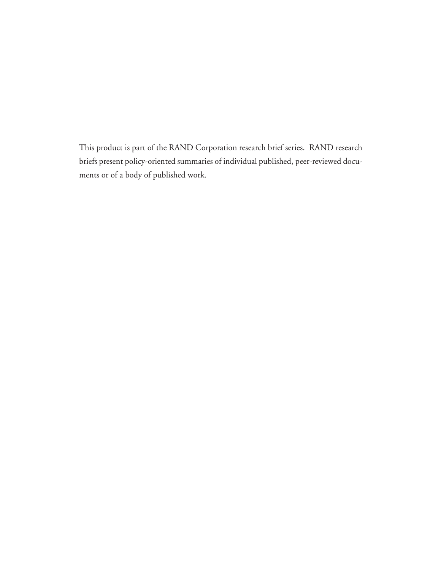This product is part of the RAND Corporation research brief series. RAND research briefs present policy-oriented summaries of individual published, peer-reviewed documents or of a body of published work.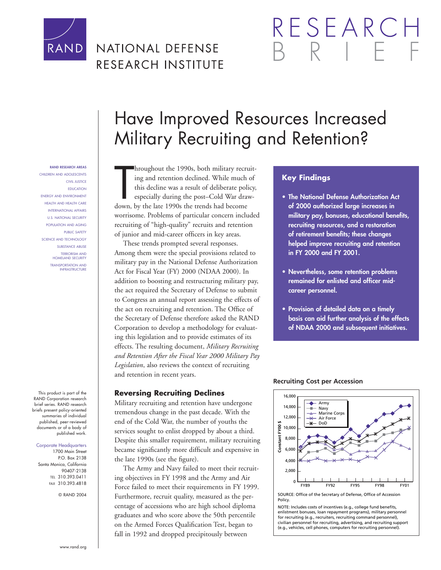<span id="page-2-0"></span>

## NATIONAL DEFENSE RESEARCH INSTITUTE

# RESEARCI

#### **RAND RESEARCH AREAS**

CHILDREN AND ADOLESCENTS CIVIL JUSTICE EDUCATION ENERGY AND ENVIRONMENT HEALTH AND HEALTH CARE INTERNATIONAL AFFAIRS U.S. NATIONAL SECURITY POPULATION AND AGING PUBLIC SAFETY SCIENCE AND TECHNOLOGY SUBSTANCE ABUSE TERRORISM AND HOMELAND SECURITY TRANSPORTATION AND **INFRASTRUCTURE** 

This product is part of the RAND Corporation research brief series. RAND research briefs present policy-oriented summaries of individual published, peer-reviewed documents or of a body of published work.

#### Corporate Headquarters

1700 Main Street P.O. Box 2138 Santa Monica, California 90407-2138 TEL 310.393.0411 FAX 310.393.4818

© RAND 2004

# Have Improved Resources Increased Military Recruiting and Retention?

hroughout the 1990s, both military recr<br>
ing and retention declined. While much<br>
this decline was a result of deliberate pol<br>
especially during the post–Cold War dra<br>
down, by the late 1990s the trends had become hroughout the 1990s, both military recruiting and retention declined. While much of this decline was a result of deliberate policy, especially during the post–Cold War drawworrisome. Problems of particular concern included recruiting of "high-quality" recruits and retention of junior and mid-career officers in key areas.

These trends prompted several responses. Among them were the special provisions related to military pay in the National Defense Authorization Act for Fiscal Year (FY) 2000 (NDAA 2000). In addition to boosting and restructuring military pay, the act required the Secretary of Defense to submit to Congress an annual report assessing the effects of the act on recruiting and retention. The Office of the Secretary of Defense therefore asked the RAND Corporation to develop a methodology for evaluating this legislation and to provide estimates of its effects. The resulting document, *Military Recruiting and Retention After the Fiscal Year 2000 Military Pay Legislation*, also reviews the context of recruiting and retention in recent years.

#### **Reversing Recruiting Declines**

Military recruiting and retention have undergone tremendous change in the past decade. With the end of the Cold War, the number of youths the services sought to enlist dropped by about a third. Despite this smaller requirement, military recruiting became significantly more difficult and expensive in the late 1990s (see the figure).

The Army and Navy failed to meet their recruiting objectives in FY 1998 and the Army and Air Force failed to meet their requirements in FY 1999. Furthermore, recruit quality, measured as the percentage of accessions who are high school diploma graduates and who score above the 50th percentile on the Armed Forces Qualification Test, began to fall in 1992 and dropped precipitously between

#### **Key Findings**

- **The National Defense Authorization Act of 2000 authorized large increases in military pay, bonuses, educational benefits, recruiting resources, and a restoration of retirement benefits; these changes helped improve recruiting and retention in FY 2000 and FY 2001.**
- **Nevertheless, some retention problems remained for enlisted and officer midcareer personnel.**
- **Provision of detailed data on a timely basis can aid further analysis of the effects of NDAA 2000 and subsequent initiatives.**



**Recruiting Cost per Accession**

SOURCE: Office of the Secretary of Defense, Office of Accession Policy.

NOTE: Includes costs of incentives (e.g., college fund benefits, enlistment bonuses, loan repayment programs), military personnel for recruiting (e.g., recruiters, recruiting command personnel), civilian personnel for recruiting, advertising, and recruiting support (e.g., vehicles, cell phones, computers for recruiting personnel).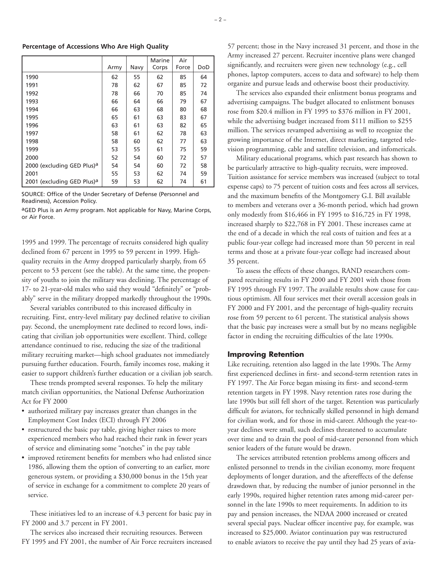#### **Percentage of Accessions Who Are High Quality**

|                                        | Army | Navy | Marine<br>Corps | Air<br>Force | DoD |
|----------------------------------------|------|------|-----------------|--------------|-----|
|                                        |      |      |                 |              |     |
| 1990                                   | 62   | 55   | 62              | 85           | 64  |
| 1991                                   | 78   | 62   | 67              | 85           | 72  |
| 1992                                   | 78   | 66   | 70              | 85           | 74  |
| 1993                                   | 66   | 64   | 66              | 79           | 67  |
| 1994                                   | 66   | 63   | 68              | 80           | 68  |
| 1995                                   | 65   | 61   | 63              | 83           | 67  |
| 1996                                   | 63   | 61   | 63              | 82           | 65  |
| 1997                                   | 58   | 61   | 62              | 78           | 63  |
| 1998                                   | 58   | 60   | 62              | 77           | 63  |
| 1999                                   | 53   | 55   | 61              | 75           | 59  |
| 2000                                   | 52   | 54   | 60              | 72           | 57  |
| 2000 (excluding GED Plus) <sup>a</sup> | 54   | 54   | 60              | 72           | 58  |
| 2001                                   | 55   | 53   | 62              | 74           | 59  |
| 2001 (excluding GED Plus) <sup>a</sup> | 59   | 53   | 62              | 74           | 61  |

SOURCE: Office of the Under Secretary of Defense (Personnel and Readiness), Accession Policy.

aGED Plus is an Army program. Not applicable for Navy, Marine Corps, or Air Force.

1995 and 1999. The percentage of recruits considered high quality declined from 67 percent in 1995 to 59 percent in 1999. Highquality recruits in the Army dropped particularly sharply, from 65 percent to 53 percent (see the table). At the same time, the propensity of youths to join the military was declining. The percentage of 17- to 21-year-old males who said they would "definitely" or "probably" serve in the military dropped markedly throughout the 1990s.

Several variables contributed to this increased difficulty in recruiting. First, entry-level military pay declined relative to civilian pay. Second, the unemployment rate declined to record lows, indicating that civilian job opportunities were excellent. Third, college attendance continued to rise, reducing the size of the traditional military recruiting market—high school graduates not immediately pursuing further education. Fourth, family incomes rose, making it easier to support children's further education or a civilian job search.

These trends prompted several responses. To help the military match civilian opportunities, the National Defense Authorization Act for FY 2000

- authorized military pay increases greater than changes in the Employment Cost Index (ECI) through FY 2006
- restructured the basic pay table, giving higher raises to more experienced members who had reached their rank in fewer years of service and eliminating some "notches" in the pay table
- improved retirement benefits for members who had enlisted since 1986, allowing them the option of converting to an earlier, more generous system, or providing a \$30,000 bonus in the 15th year of service in exchange for a commitment to complete 20 years of service.

These initiatives led to an increase of 4.3 percent for basic pay in FY 2000 and 3.7 percent in FY 2001.

The services also increased their recruiting resources. Between FY 1995 and FY 2001, the number of Air Force recruiters increased 57 percent; those in the Navy increased 31 percent, and those in the Army increased 27 percent. Recruiter incentive plans were changed significantly, and recruiters were given new technology (e.g., cell phones, laptop computers, access to data and software) to help them organize and pursue leads and otherwise boost their productivity.

The services also expanded their enlistment bonus programs and advertising campaigns. The budget allocated to enlistment bonuses rose from \$20.4 million in FY 1995 to \$376 million in FY 2001, while the advertising budget increased from \$111 million to \$255 million. The services revamped advertising as well to recognize the growing importance of the Internet, direct marketing, targeted television programming, cable and satellite television, and infomericals.

Military educational programs, which past research has shown to be particularly attractive to high-quality recruits, were improved. Tuition assistance for service members was increased (subject to total expense caps) to 75 percent of tuition costs and fees across all services, and the maximum benefits of the Montgomery G.I. Bill available to members and veterans over a 36-month period, which had grown only modestly from \$16,466 in FY 1995 to \$16,725 in FY 1998, increased sharply to \$22,768 in FY 2001. These increases came at the end of a decade in which the real costs of tuition and fees at a public four-year college had increased more than 50 percent in real terms and those at a private four-year college had increased about 35 percent.

To assess the effects of these changes, RAND researchers compared recruiting results in FY 2000 and FY 2001 with those from FY 1995 through FY 1997. The available results show cause for cautious optimism. All four services met their overall accession goals in FY 2000 and FY 2001, and the percentage of high-quality recruits rose from 59 percent to 61 percent. The statistical analysis shows that the basic pay increases were a small but by no means negligible factor in ending the recruiting difficulties of the late 1990s.

#### **Improving Retention**

Like recruiting, retention also lagged in the late 1990s. The Army first experienced declines in first- and second-term retention rates in FY 1997. The Air Force began missing its first- and second-term retention targets in FY 1998. Navy retention rates rose during the late 1990s but still fell short of the target. Retention was particularly difficult for aviators, for technically skilled personnel in high demand for civilian work, and for those in mid-career. Although the year-toyear declines were small, such declines threatened to accumulate over time and to drain the pool of mid-career personnel from which senior leaders of the future would be drawn.

The services attributed retention problems among officers and enlisted personnel to trends in the civilian economy, more frequent deployments of longer duration, and the aftereffects of the defense drawdown that, by reducing the number of junior personnel in the early 1990s, required higher retention rates among mid-career personnel in the late 1990s to meet requirements. In addition to its pay and pension increases, the NDAA 2000 increased or created several special pays. Nuclear officer incentive pay, for example, was increased to \$25,000. Aviator continuation pay was restructured to enable aviators to receive the pay until they had 25 years of avia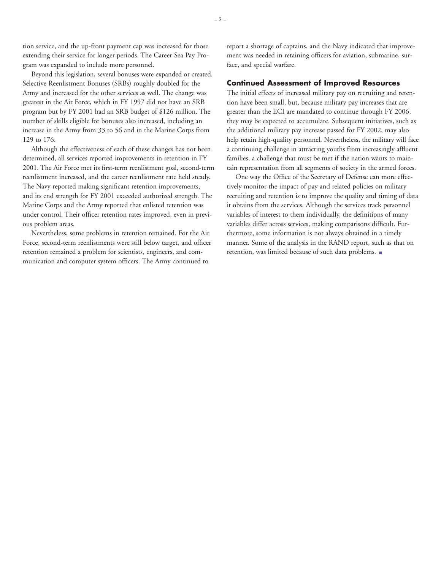tion service, and the up-front payment cap was increased for those extending their service for longer periods. The Career Sea Pay Program was expanded to include more personnel.

Beyond this legislation, several bonuses were expanded or created. Selective Reenlistment Bonuses (SRBs) roughly doubled for the Army and increased for the other services as well. The change was greatest in the Air Force, which in FY 1997 did not have an SRB program but by FY 2001 had an SRB budget of \$126 million. The number of skills eligible for bonuses also increased, including an increase in the Army from 33 to 56 and in the Marine Corps from 129 to 176.

Although the effectiveness of each of these changes has not been determined, all services reported improvements in retention in FY 2001. The Air Force met its first-term reenlistment goal, second-term reenlistment increased, and the career reenlistment rate held steady. The Navy reported making significant retention improvements, and its end strength for FY 2001 exceeded authorized strength. The Marine Corps and the Army reported that enlisted retention was under control. Their officer retention rates improved, even in previous problem areas.

Nevertheless, some problems in retention remained. For the Air Force, second-term reenlistments were still below target, and officer retention remained a problem for scientists, engineers, and communication and computer system officers. The Army continued to

report a shortage of captains, and the Navy indicated that improvement was needed in retaining officers for aviation, submarine, surface, and special warfare.

#### **Continued Assessment of Improved Resources**

The initial effects of increased military pay on recruiting and retention have been small, but, because military pay increases that are greater than the ECI are mandated to continue through FY 2006, they may be expected to accumulate. Subsequent initiatives, such as the additional military pay increase passed for FY 2002, may also help retain high-quality personnel. Nevertheless, the military will face a continuing challenge in attracting youths from increasingly affluent families, a challenge that must be met if the nation wants to maintain representation from all segments of society in the armed forces.

One way the Office of the Secretary of Defense can more effectively monitor the impact of pay and related policies on military recruiting and retention is to improve the quality and timing of data it obtains from the services. Although the services track personnel variables of interest to them individually, the definitions of many variables differ across services, making comparisons difficult. Furthermore, some information is not always obtained in a timely manner. Some of the analysis in the RAND report, such as that on retention, was limited because of such data problems.